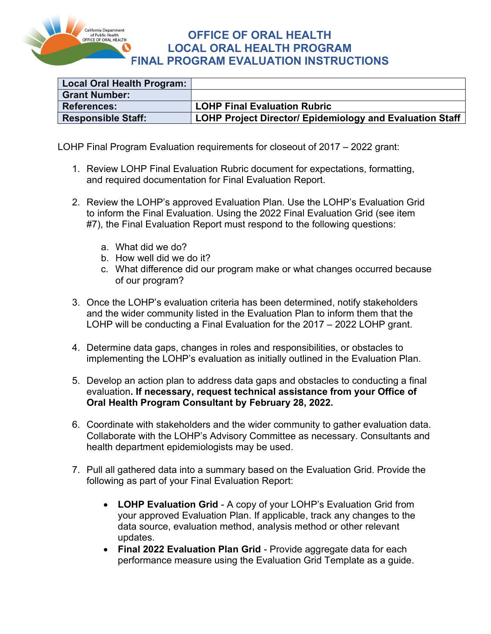

### OFFICE OF ORAL HEALTH LOCAL ORAL HEALTH PROGRAM FINAL PROGRAM EVALUATION INSTRUCTIONS

| Local Oral Health Program: |                                                                 |
|----------------------------|-----------------------------------------------------------------|
| <b>Grant Number:</b>       |                                                                 |
| <b>References:</b>         | <b>LOHP Final Evaluation Rubric</b>                             |
| <b>Responsible Staff:</b>  | <b>LOHP Project Director/ Epidemiology and Evaluation Staff</b> |

LOHP Final Program Evaluation requirements for closeout of 2017 – 2022 grant:

- 1. Review LOHP Final Evaluation Rubric document for expectations, formatting, and required documentation for Final Evaluation Report.
- 2. Review the LOHP's approved Evaluation Plan. Use the LOHP's Evaluation Grid to inform the Final Evaluation. Using the 2022 Final Evaluation Grid (see item #7), the Final Evaluation Report must respond to the following questions:
	- a. What did we do?
	- b. How well did we do it?
	- c. What difference did our program make or what changes occurred because of our program?
- 3. Once the LOHP's evaluation criteria has been determined, notify stakeholders and the wider community listed in the Evaluation Plan to inform them that the LOHP will be conducting a Final Evaluation for the 2017 – 2022 LOHP grant.
- 4. Determine data gaps, changes in roles and responsibilities, or obstacles to implementing the LOHP's evaluation as initially outlined in the Evaluation Plan.
- 5. Develop an action plan to address data gaps and obstacles to conducting a final evaluation. If necessary, request technical assistance from your Office of Oral Health Program Consultant by February 28, 2022.
- 6. Coordinate with stakeholders and the wider community to gather evaluation data. Collaborate with the LOHP's Advisory Committee as necessary. Consultants and health department epidemiologists may be used.
- 7. Pull all gathered data into a summary based on the Evaluation Grid. Provide the following as part of your Final Evaluation Report:
	- LOHP Evaluation Grid A copy of your LOHP's Evaluation Grid from your approved Evaluation Plan. If applicable, track any changes to the data source, evaluation method, analysis method or other relevant updates.
	- Final 2022 Evaluation Plan Grid Provide aggregate data for each performance measure using the Evaluation Grid Template as a guide.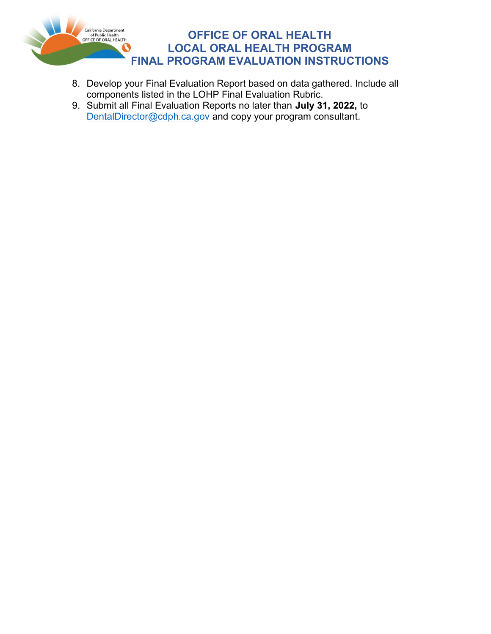

# OFFICE OF ORAL HEALTH LOCAL ORAL HEALTH PROGRAM FINAL PROGRAM EVALUATION INSTRUCTIONS

- 8. Develop your Final Evaluation Report based on data gathered. Include all components listed in the LOHP Final Evaluation Rubric.
- 9. Submit all Final Evaluation Reports no later than July 31, 2022, to DentalDirector@cdph.ca.gov and copy your program consultant.